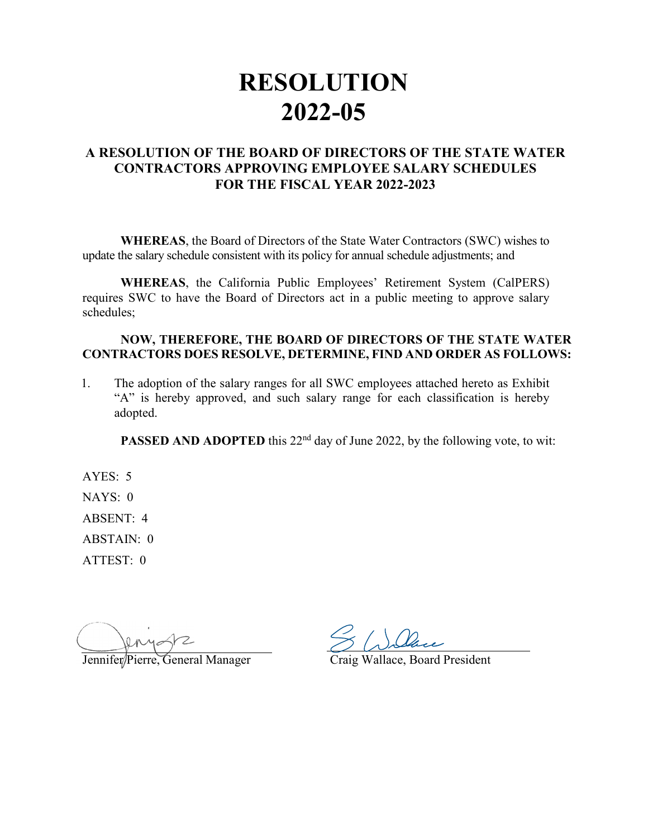## **RESOLUTION 2022-05**

## **A RESOLUTION OF THE BOARD OF DIRECTORS OF THE STATE WATER CONTRACTORS APPROVING EMPLOYEE SALARY SCHEDULES FOR THE FISCAL YEAR 2022-2023**

**WHEREAS**, the Board of Directors of the State Water Contractors (SWC) wishes to update the salary schedule consistent with its policy for annual schedule adjustments; and

**WHEREAS**, the California Public Employees' Retirement System (CalPERS) requires SWC to have the Board of Directors act in a public meeting to approve salary schedules;

## **NOW, THEREFORE, THE BOARD OF DIRECTORS OF THE STATE WATER CONTRACTORS DOES RESOLVE, DETERMINE, FIND AND ORDER AS FOLLOWS:**

1. The adoption of the salary ranges for all SWC employees attached hereto as Exhibit "A" is hereby approved, and such salary range for each classification is hereby adopted.

**PASSED AND ADOPTED** this 22<sup>nd</sup> day of June 2022, by the following vote, to wit:

AYES: 5 NAYS: 0 ABSENT: 4 ABSTAIN: 0 ATTEST: 0

 $\widehat{G}$ eneral Manager